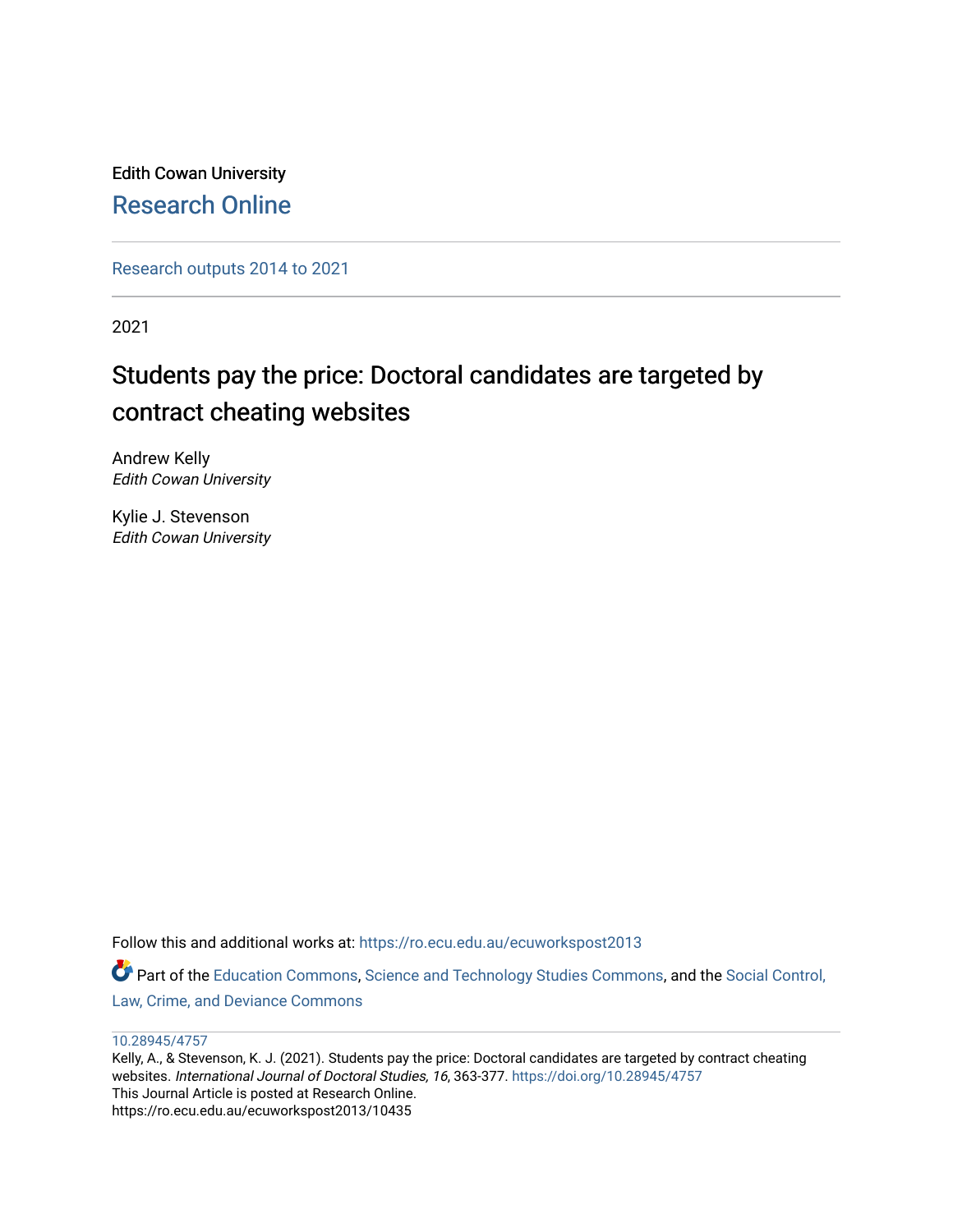Edith Cowan University [Research Online](https://ro.ecu.edu.au/) 

[Research outputs 2014 to 2021](https://ro.ecu.edu.au/ecuworkspost2013) 

2021

# Students pay the price: Doctoral candidates are targeted by contract cheating websites

Andrew Kelly Edith Cowan University

Kylie J. Stevenson Edith Cowan University

Follow this and additional works at: [https://ro.ecu.edu.au/ecuworkspost2013](https://ro.ecu.edu.au/ecuworkspost2013?utm_source=ro.ecu.edu.au%2Fecuworkspost2013%2F10435&utm_medium=PDF&utm_campaign=PDFCoverPages)  Part of the [Education Commons](http://network.bepress.com/hgg/discipline/784?utm_source=ro.ecu.edu.au%2Fecuworkspost2013%2F10435&utm_medium=PDF&utm_campaign=PDFCoverPages), [Science and Technology Studies Commons,](http://network.bepress.com/hgg/discipline/435?utm_source=ro.ecu.edu.au%2Fecuworkspost2013%2F10435&utm_medium=PDF&utm_campaign=PDFCoverPages) and the Social Control, [Law, Crime, and Deviance Commons](http://network.bepress.com/hgg/discipline/429?utm_source=ro.ecu.edu.au%2Fecuworkspost2013%2F10435&utm_medium=PDF&utm_campaign=PDFCoverPages)

#### [10.28945/4757](http://dx.doi.org/10.28945/4757)

Kelly, A., & Stevenson, K. J. (2021). Students pay the price: Doctoral candidates are targeted by contract cheating websites. International Journal of Doctoral Studies, 16, 363-377.<https://doi.org/10.28945/4757> This Journal Article is posted at Research Online. https://ro.ecu.edu.au/ecuworkspost2013/10435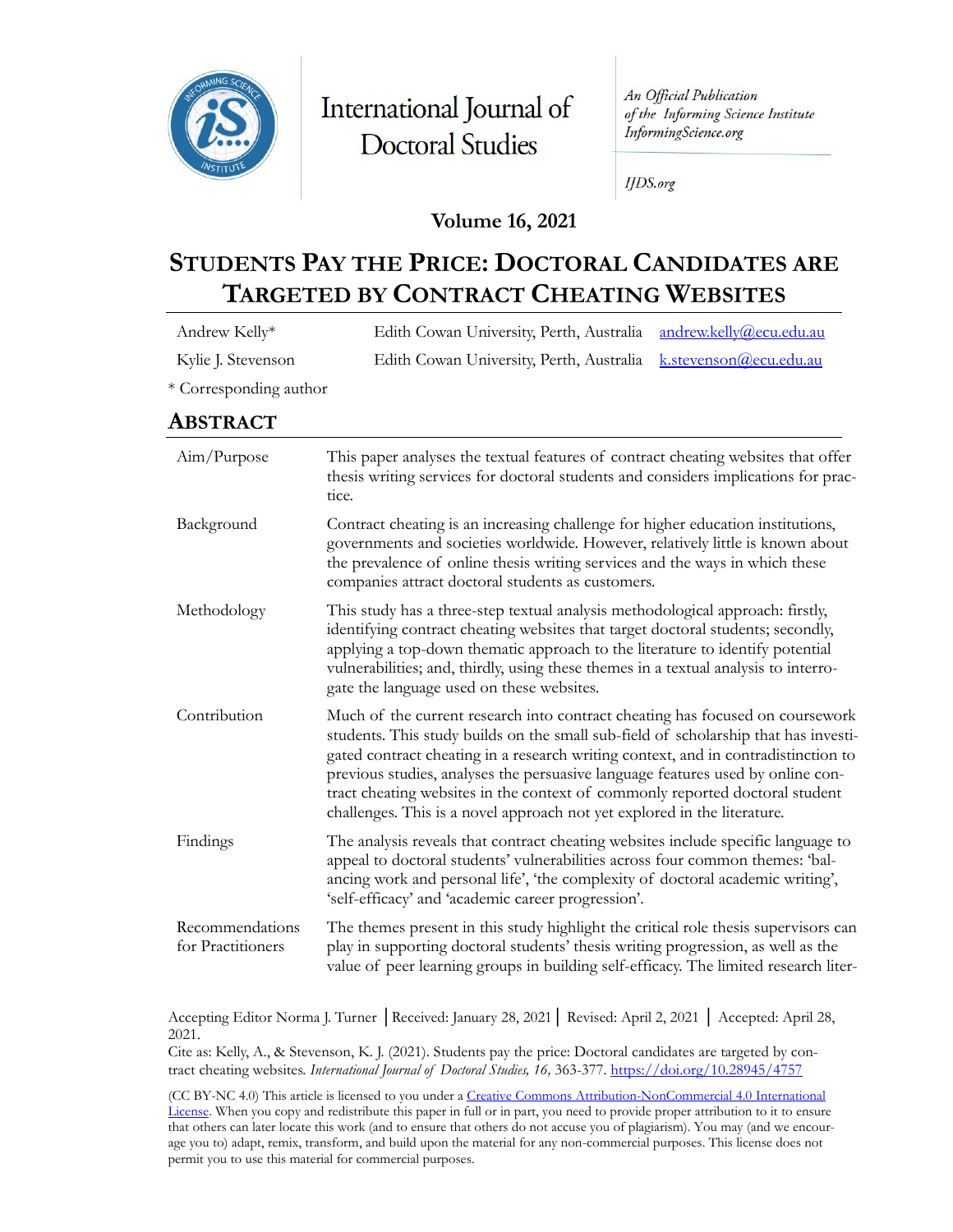

International Journal of **Doctoral Studies** 

An Official Publication of the Informing Science Institute InformingScience.org

**IJDS.org** 

## **Volume 16, 2021**

# **STUDENTS PAY THE PRICE: DOCTORAL CANDIDATES ARE TARGETED BY CONTRACT CHEATING WEBSITES**

| Andrew Kelly*                        | andrew.kelly@ecu.edu.au<br>Edith Cowan University, Perth, Australia                                                                                                                                                                                                                                                                                                                                                                                                                                       |  |  |  |  |  |
|--------------------------------------|-----------------------------------------------------------------------------------------------------------------------------------------------------------------------------------------------------------------------------------------------------------------------------------------------------------------------------------------------------------------------------------------------------------------------------------------------------------------------------------------------------------|--|--|--|--|--|
| Kylie J. Stevenson                   | Edith Cowan University, Perth, Australia<br>k.stevenson@ecu.edu.au                                                                                                                                                                                                                                                                                                                                                                                                                                        |  |  |  |  |  |
| * Corresponding author               |                                                                                                                                                                                                                                                                                                                                                                                                                                                                                                           |  |  |  |  |  |
| ABSTRACT                             |                                                                                                                                                                                                                                                                                                                                                                                                                                                                                                           |  |  |  |  |  |
| Aim/Purpose                          | This paper analyses the textual features of contract cheating websites that offer<br>thesis writing services for doctoral students and considers implications for prac-<br>tice.                                                                                                                                                                                                                                                                                                                          |  |  |  |  |  |
| Background                           | Contract cheating is an increasing challenge for higher education institutions,<br>governments and societies worldwide. However, relatively little is known about<br>the prevalence of online thesis writing services and the ways in which these<br>companies attract doctoral students as customers.                                                                                                                                                                                                    |  |  |  |  |  |
| Methodology                          | This study has a three-step textual analysis methodological approach: firstly,<br>identifying contract cheating websites that target doctoral students; secondly,<br>applying a top-down thematic approach to the literature to identify potential<br>vulnerabilities; and, thirdly, using these themes in a textual analysis to interro-<br>gate the language used on these websites.                                                                                                                    |  |  |  |  |  |
| Contribution                         | Much of the current research into contract cheating has focused on coursework<br>students. This study builds on the small sub-field of scholarship that has investi-<br>gated contract cheating in a research writing context, and in contradistinction to<br>previous studies, analyses the persuasive language features used by online con-<br>tract cheating websites in the context of commonly reported doctoral student<br>challenges. This is a novel approach not yet explored in the literature. |  |  |  |  |  |
| Findings                             | The analysis reveals that contract cheating websites include specific language to<br>appeal to doctoral students' vulnerabilities across four common themes: 'bal-<br>ancing work and personal life', 'the complexity of doctoral academic writing',<br>'self-efficacy' and 'academic career progression'.                                                                                                                                                                                                |  |  |  |  |  |
| Recommendations<br>for Practitioners | The themes present in this study highlight the critical role thesis supervisors can<br>play in supporting doctoral students' thesis writing progression, as well as the<br>value of peer learning groups in building self-efficacy. The limited research liter-                                                                                                                                                                                                                                           |  |  |  |  |  |

Accepting Editor Norma J. Turner │Received: January 28, 2021│ Revised: April 2, 2021 │ Accepted: April 28, 2021.

Cite as: Kelly, A., & Stevenson, K. J. (2021). Students pay the price: Doctoral candidates are targeted by contract cheating websites. *International Journal of Doctoral Studies, 16,* 363-377. <https://doi.org/10.28945/4757>

(CC BY-NC 4.0) This article is licensed to you under a [Creative Commons Attribution-NonCommercial 4.0 International](https://creativecommons.org/licenses/by-nc/4.0/)  [License.](https://creativecommons.org/licenses/by-nc/4.0/) When you copy and redistribute this paper in full or in part, you need to provide proper attribution to it to ensure that others can later locate this work (and to ensure that others do not accuse you of plagiarism). You may (and we encourage you to) adapt, remix, transform, and build upon the material for any non-commercial purposes. This license does not permit you to use this material for commercial purposes.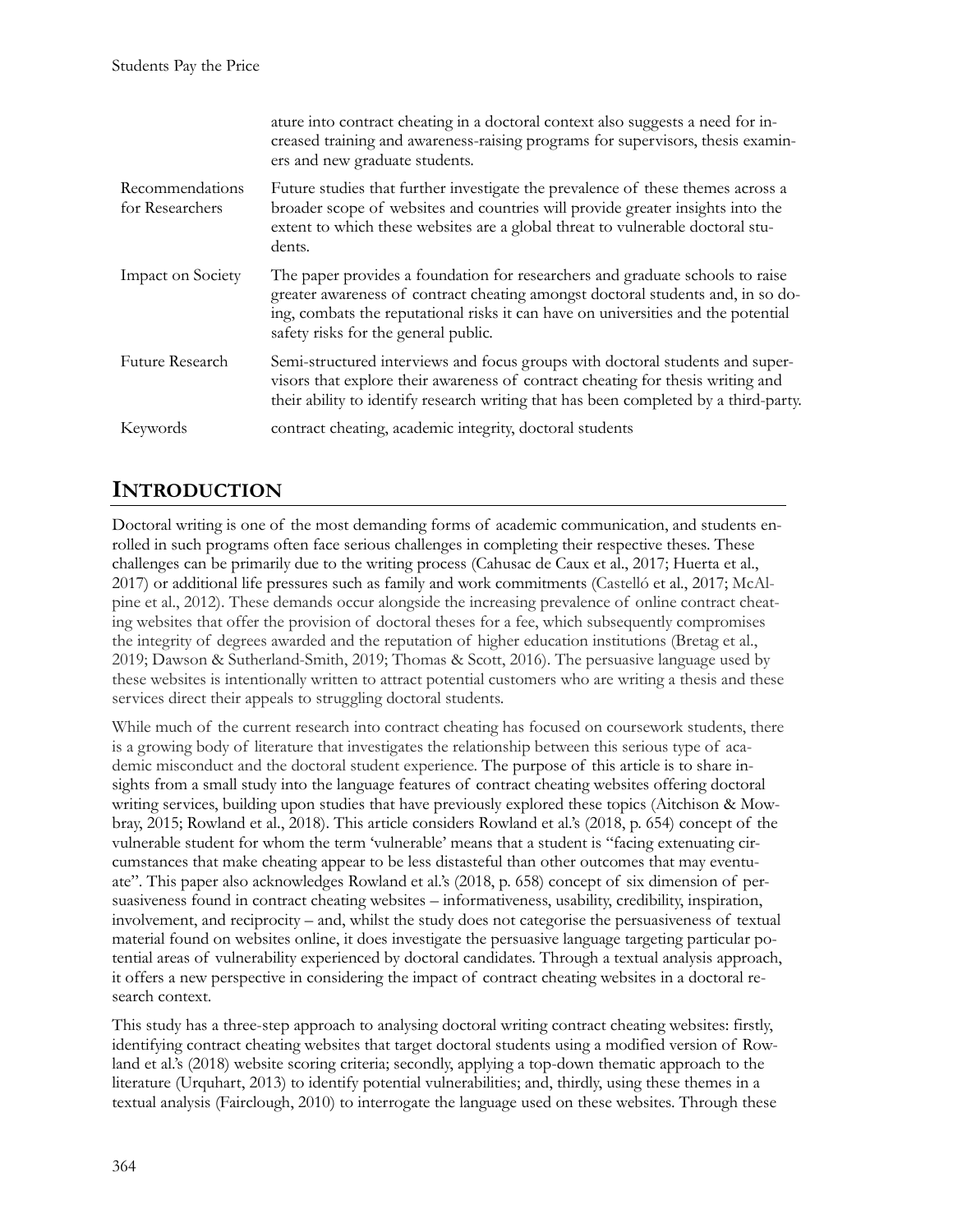|                                    | ature into contract cheating in a doctoral context also suggests a need for in-<br>creased training and awareness-raising programs for supervisors, thesis examin-<br>ers and new graduate students.                                                                                          |
|------------------------------------|-----------------------------------------------------------------------------------------------------------------------------------------------------------------------------------------------------------------------------------------------------------------------------------------------|
| Recommendations<br>for Researchers | Future studies that further investigate the prevalence of these themes across a<br>broader scope of websites and countries will provide greater insights into the<br>extent to which these websites are a global threat to vulnerable doctoral stu-<br>dents.                                 |
| Impact on Society                  | The paper provides a foundation for researchers and graduate schools to raise<br>greater awareness of contract cheating amongst doctoral students and, in so do-<br>ing, combats the reputational risks it can have on universities and the potential<br>safety risks for the general public. |
| <b>Future Research</b>             | Semi-structured interviews and focus groups with doctoral students and super-<br>visors that explore their awareness of contract cheating for thesis writing and<br>their ability to identify research writing that has been completed by a third-party.                                      |
| Keywords                           | contract cheating, academic integrity, doctoral students                                                                                                                                                                                                                                      |

# **INTRODUCTION**

Doctoral writing is one of the most demanding forms of academic communication, and students enrolled in such programs often face serious challenges in completing their respective theses. These challenges can be primarily due to the writing process (Cahusac de Caux et al., 2017; Huerta et al., 2017) or additional life pressures such as family and work commitments (Castelló et al., 2017; McAlpine et al., 2012). These demands occur alongside the increasing prevalence of online contract cheating websites that offer the provision of doctoral theses for a fee, which subsequently compromises the integrity of degrees awarded and the reputation of higher education institutions (Bretag et al., 2019; Dawson & Sutherland-Smith, 2019; Thomas & Scott, 2016). The persuasive language used by these websites is intentionally written to attract potential customers who are writing a thesis and these services direct their appeals to struggling doctoral students.

While much of the current research into contract cheating has focused on coursework students, there is a growing body of literature that investigates the relationship between this serious type of academic misconduct and the doctoral student experience. The purpose of this article is to share insights from a small study into the language features of contract cheating websites offering doctoral writing services, building upon studies that have previously explored these topics (Aitchison & Mowbray, 2015; Rowland et al., 2018). This article considers Rowland et al.'s (2018, p. 654) concept of the vulnerable student for whom the term 'vulnerable' means that a student is "facing extenuating circumstances that make cheating appear to be less distasteful than other outcomes that may eventuate". This paper also acknowledges Rowland et al.'s (2018, p. 658) concept of six dimension of persuasiveness found in contract cheating websites – informativeness, usability, credibility, inspiration, involvement, and reciprocity – and, whilst the study does not categorise the persuasiveness of textual material found on websites online, it does investigate the persuasive language targeting particular potential areas of vulnerability experienced by doctoral candidates. Through a textual analysis approach, it offers a new perspective in considering the impact of contract cheating websites in a doctoral research context.

This study has a three-step approach to analysing doctoral writing contract cheating websites: firstly, identifying contract cheating websites that target doctoral students using a modified version of Rowland et al.'s (2018) website scoring criteria; secondly, applying a top-down thematic approach to the literature (Urquhart, 2013) to identify potential vulnerabilities; and, thirdly, using these themes in a textual analysis (Fairclough, 2010) to interrogate the language used on these websites. Through these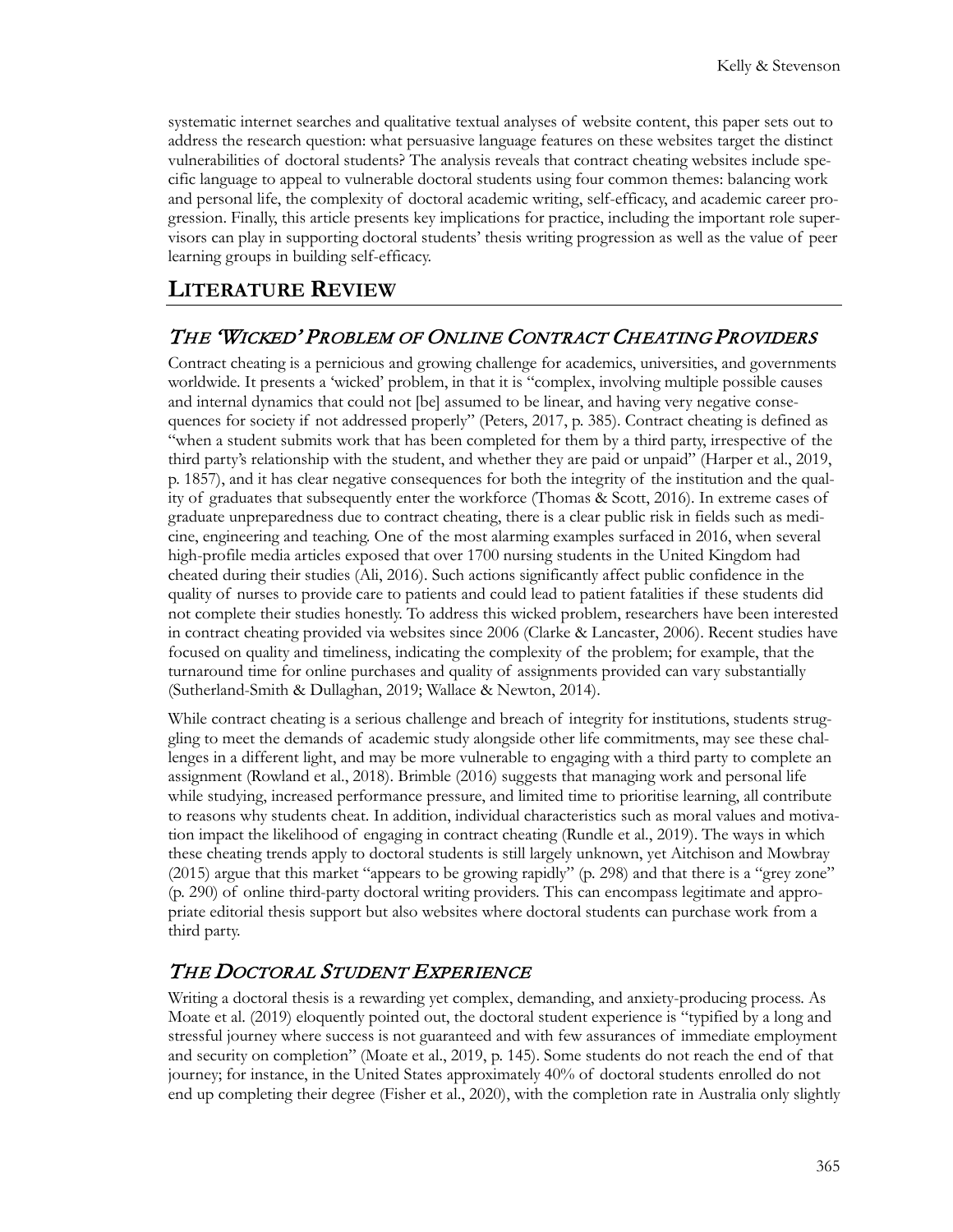systematic internet searches and qualitative textual analyses of website content, this paper sets out to address the research question: what persuasive language features on these websites target the distinct vulnerabilities of doctoral students? The analysis reveals that contract cheating websites include specific language to appeal to vulnerable doctoral students using four common themes: balancing work and personal life, the complexity of doctoral academic writing, self-efficacy, and academic career progression. Finally, this article presents key implications for practice, including the important role supervisors can play in supporting doctoral students' thesis writing progression as well as the value of peer learning groups in building self-efficacy.

## **LITERATURE REVIEW**

#### THE 'WICKED' PROBLEM OF ONLINE CONTRACT CHEATING PROVIDERS

Contract cheating is a pernicious and growing challenge for academics, universities, and governments worldwide. It presents a 'wicked' problem, in that it is "complex, involving multiple possible causes and internal dynamics that could not [be] assumed to be linear, and having very negative consequences for society if not addressed properly" (Peters, 2017, p. 385). Contract cheating is defined as "when a student submits work that has been completed for them by a third party, irrespective of the third party's relationship with the student, and whether they are paid or unpaid" (Harper et al., 2019, p. 1857), and it has clear negative consequences for both the integrity of the institution and the quality of graduates that subsequently enter the workforce (Thomas & Scott, 2016). In extreme cases of graduate unpreparedness due to contract cheating, there is a clear public risk in fields such as medicine, engineering and teaching. One of the most alarming examples surfaced in 2016, when several high-profile media articles exposed that over 1700 nursing students in the United Kingdom had cheated during their studies (Ali, 2016). Such actions significantly affect public confidence in the quality of nurses to provide care to patients and could lead to patient fatalities if these students did not complete their studies honestly. To address this wicked problem, researchers have been interested in contract cheating provided via websites since 2006 (Clarke & Lancaster, 2006). Recent studies have focused on quality and timeliness, indicating the complexity of the problem; for example, that the turnaround time for online purchases and quality of assignments provided can vary substantially (Sutherland-Smith & Dullaghan, 2019; Wallace & Newton, 2014).

While contract cheating is a serious challenge and breach of integrity for institutions, students struggling to meet the demands of academic study alongside other life commitments, may see these challenges in a different light, and may be more vulnerable to engaging with a third party to complete an assignment (Rowland et al., 2018). Brimble (2016) suggests that managing work and personal life while studying, increased performance pressure, and limited time to prioritise learning, all contribute to reasons why students cheat. In addition, individual characteristics such as moral values and motivation impact the likelihood of engaging in contract cheating (Rundle et al., 2019). The ways in which these cheating trends apply to doctoral students is still largely unknown, yet Aitchison and Mowbray (2015) argue that this market "appears to be growing rapidly" (p. 298) and that there is a "grey zone" (p. 290) of online third-party doctoral writing providers. This can encompass legitimate and appropriate editorial thesis support but also websites where doctoral students can purchase work from a third party.

## THE DOCTORAL STUDENT EXPERIENCE

Writing a doctoral thesis is a rewarding yet complex, demanding, and anxiety-producing process. As Moate et al. (2019) eloquently pointed out, the doctoral student experience is "typified by a long and stressful journey where success is not guaranteed and with few assurances of immediate employment and security on completion" (Moate et al., 2019, p. 145). Some students do not reach the end of that journey; for instance, in the United States approximately 40% of doctoral students enrolled do not end up completing their degree (Fisher et al., 2020), with the completion rate in Australia only slightly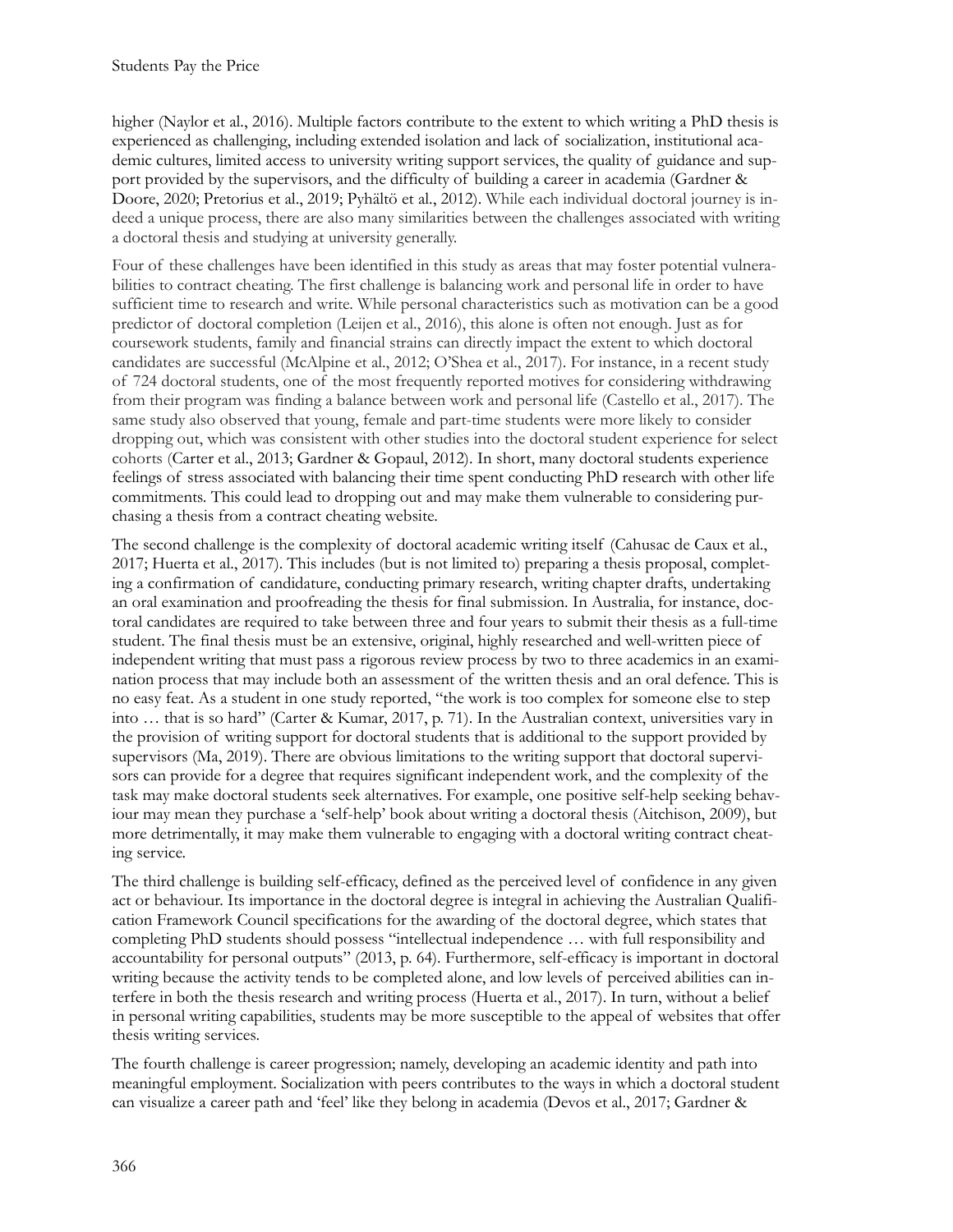higher (Naylor et al., 2016). Multiple factors contribute to the extent to which writing a PhD thesis is experienced as challenging, including extended isolation and lack of socialization, institutional academic cultures, limited access to university writing support services, the quality of guidance and support provided by the supervisors, and the difficulty of building a career in academia (Gardner & Doore, 2020; Pretorius et al., 2019; Pyhältö et al., 2012). While each individual doctoral journey is indeed a unique process, there are also many similarities between the challenges associated with writing a doctoral thesis and studying at university generally.

Four of these challenges have been identified in this study as areas that may foster potential vulnerabilities to contract cheating. The first challenge is balancing work and personal life in order to have sufficient time to research and write. While personal characteristics such as motivation can be a good predictor of doctoral completion (Leijen et al., 2016), this alone is often not enough. Just as for coursework students, family and financial strains can directly impact the extent to which doctoral candidates are successful (McAlpine et al., 2012; O'Shea et al., 2017). For instance, in a recent study of 724 doctoral students, one of the most frequently reported motives for considering withdrawing from their program was finding a balance between work and personal life (Castello et al., 2017). The same study also observed that young, female and part-time students were more likely to consider dropping out, which was consistent with other studies into the doctoral student experience for select cohorts (Carter et al., 2013; Gardner & Gopaul, 2012). In short, many doctoral students experience feelings of stress associated with balancing their time spent conducting PhD research with other life commitments. This could lead to dropping out and may make them vulnerable to considering purchasing a thesis from a contract cheating website.

The second challenge is the complexity of doctoral academic writing itself (Cahusac de Caux et al., 2017; Huerta et al., 2017). This includes (but is not limited to) preparing a thesis proposal, completing a confirmation of candidature, conducting primary research, writing chapter drafts, undertaking an oral examination and proofreading the thesis for final submission. In Australia, for instance, doctoral candidates are required to take between three and four years to submit their thesis as a full-time student. The final thesis must be an extensive, original, highly researched and well-written piece of independent writing that must pass a rigorous review process by two to three academics in an examination process that may include both an assessment of the written thesis and an oral defence. This is no easy feat. As a student in one study reported, "the work is too complex for someone else to step into … that is so hard" (Carter & Kumar, 2017, p. 71). In the Australian context, universities vary in the provision of writing support for doctoral students that is additional to the support provided by supervisors (Ma, 2019). There are obvious limitations to the writing support that doctoral supervisors can provide for a degree that requires significant independent work, and the complexity of the task may make doctoral students seek alternatives. For example, one positive self-help seeking behaviour may mean they purchase a 'self-help' book about writing a doctoral thesis (Aitchison, 2009), but more detrimentally, it may make them vulnerable to engaging with a doctoral writing contract cheating service.

The third challenge is building self-efficacy, defined as the perceived level of confidence in any given act or behaviour. Its importance in the doctoral degree is integral in achieving the Australian Qualification Framework Council specifications for the awarding of the doctoral degree, which states that completing PhD students should possess "intellectual independence … with full responsibility and accountability for personal outputs" (2013, p. 64). Furthermore, self-efficacy is important in doctoral writing because the activity tends to be completed alone, and low levels of perceived abilities can interfere in both the thesis research and writing process (Huerta et al., 2017). In turn, without a belief in personal writing capabilities, students may be more susceptible to the appeal of websites that offer thesis writing services.

The fourth challenge is career progression; namely, developing an academic identity and path into meaningful employment. Socialization with peers contributes to the ways in which a doctoral student can visualize a career path and 'feel' like they belong in academia (Devos et al., 2017; Gardner &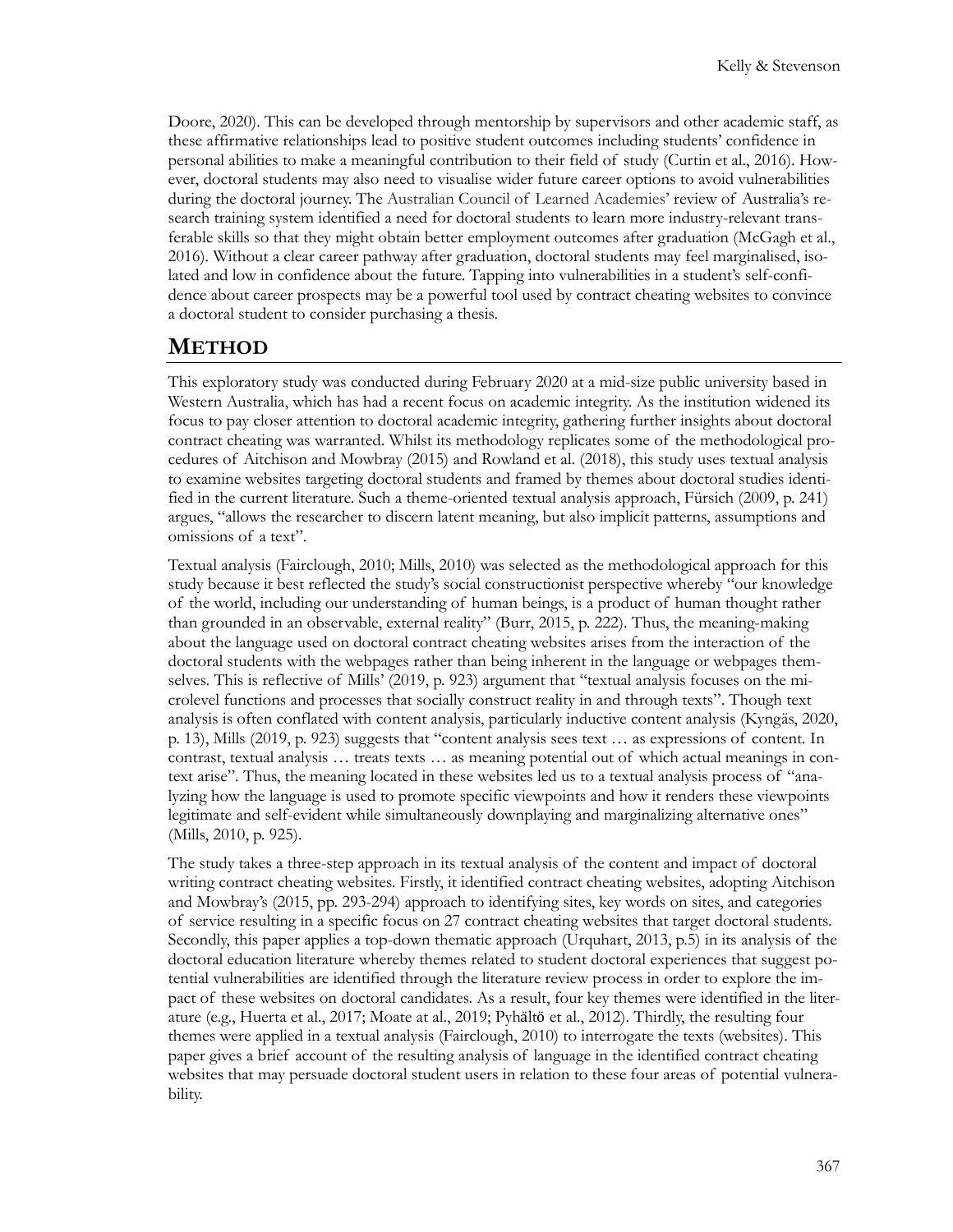Doore, 2020). This can be developed through mentorship by supervisors and other academic staff, as these affirmative relationships lead to positive student outcomes including students' confidence in personal abilities to make a meaningful contribution to their field of study (Curtin et al., 2016). However, doctoral students may also need to visualise wider future career options to avoid vulnerabilities during the doctoral journey. The Australian Council of Learned Academies' review of Australia's research training system identified a need for doctoral students to learn more industry-relevant transferable skills so that they might obtain better employment outcomes after graduation (McGagh et al., 2016). Without a clear career pathway after graduation, doctoral students may feel marginalised, isolated and low in confidence about the future. Tapping into vulnerabilities in a student's self-confidence about career prospects may be a powerful tool used by contract cheating websites to convince a doctoral student to consider purchasing a thesis.

## **METHOD**

This exploratory study was conducted during February 2020 at a mid-size public university based in Western Australia, which has had a recent focus on academic integrity. As the institution widened its focus to pay closer attention to doctoral academic integrity, gathering further insights about doctoral contract cheating was warranted. Whilst its methodology replicates some of the methodological procedures of Aitchison and Mowbray (2015) and Rowland et al. (2018), this study uses textual analysis to examine websites targeting doctoral students and framed by themes about doctoral studies identified in the current literature. Such a theme-oriented textual analysis approach, Fürsich (2009, p. 241) argues, "allows the researcher to discern latent meaning, but also implicit patterns, assumptions and omissions of a text".

Textual analysis (Fairclough, 2010; Mills, 2010) was selected as the methodological approach for this study because it best reflected the study's social constructionist perspective whereby "our knowledge of the world, including our understanding of human beings, is a product of human thought rather than grounded in an observable, external reality" (Burr, 2015, p. 222). Thus, the meaning-making about the language used on doctoral contract cheating websites arises from the interaction of the doctoral students with the webpages rather than being inherent in the language or webpages themselves. This is reflective of Mills' (2019, p. 923) argument that "textual analysis focuses on the microlevel functions and processes that socially construct reality in and through texts". Though text analysis is often conflated with content analysis, particularly inductive content analysis (Kyngäs, 2020, p. 13), Mills (2019, p. 923) suggests that "content analysis sees text … as expressions of content. In contrast, textual analysis … treats texts … as meaning potential out of which actual meanings in context arise". Thus, the meaning located in these websites led us to a textual analysis process of "analyzing how the language is used to promote specific viewpoints and how it renders these viewpoints legitimate and self-evident while simultaneously downplaying and marginalizing alternative ones" (Mills, 2010, p. 925).

The study takes a three-step approach in its textual analysis of the content and impact of doctoral writing contract cheating websites. Firstly, it identified contract cheating websites, adopting Aitchison and Mowbray's (2015, pp. 293-294) approach to identifying sites, key words on sites, and categories of service resulting in a specific focus on 27 contract cheating websites that target doctoral students. Secondly, this paper applies a top-down thematic approach (Urquhart, 2013, p.5) in its analysis of the doctoral education literature whereby themes related to student doctoral experiences that suggest potential vulnerabilities are identified through the literature review process in order to explore the impact of these websites on doctoral candidates. As a result, four key themes were identified in the literature (e.g., Huerta et al., 2017; Moate at al., 2019; Pyhӓltӧ et al., 2012). Thirdly, the resulting four themes were applied in a textual analysis (Fairclough, 2010) to interrogate the texts (websites). This paper gives a brief account of the resulting analysis of language in the identified contract cheating websites that may persuade doctoral student users in relation to these four areas of potential vulnerability.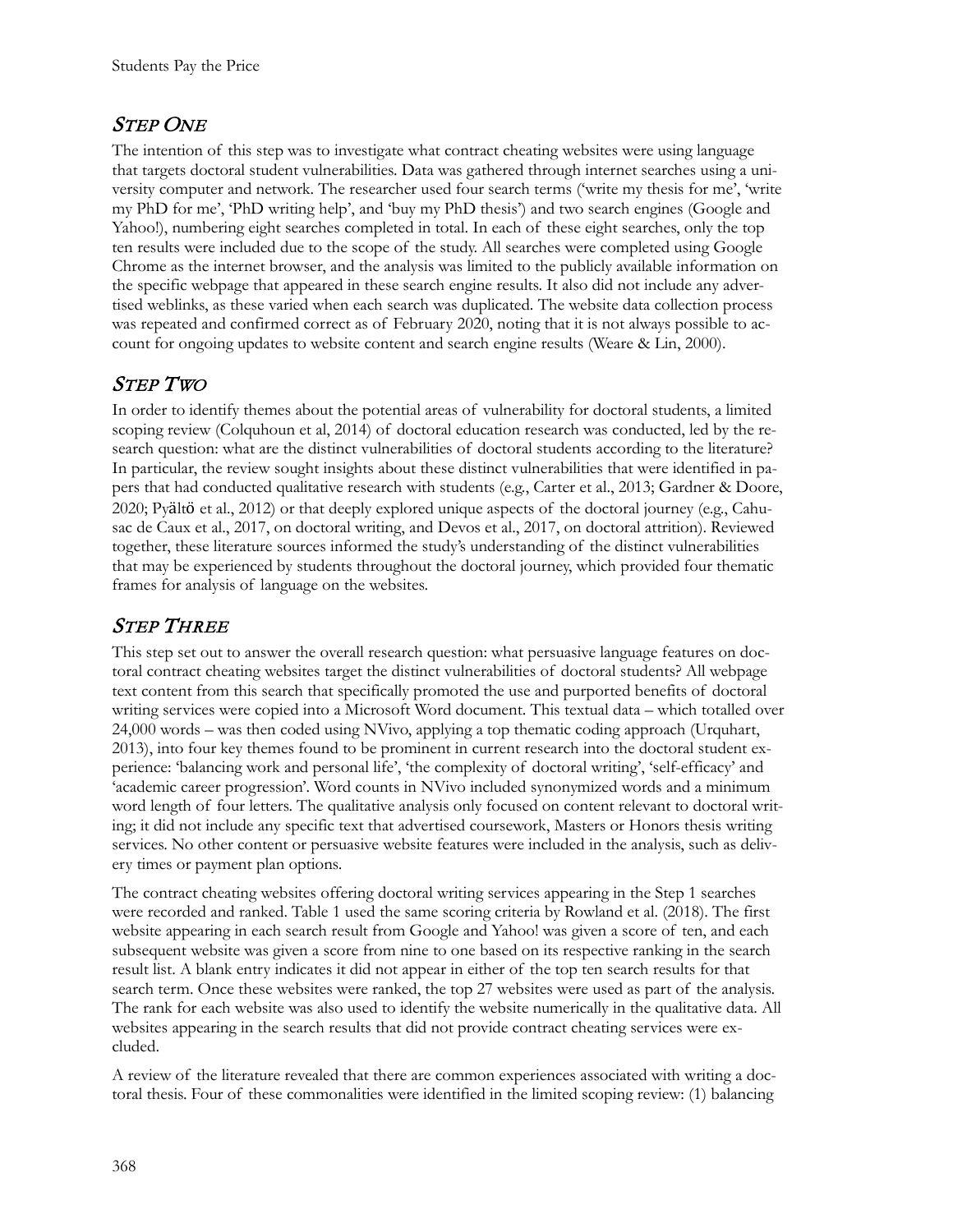## STEP ONE

The intention of this step was to investigate what contract cheating websites were using language that targets doctoral student vulnerabilities. Data was gathered through internet searches using a university computer and network. The researcher used four search terms ('write my thesis for me', 'write my PhD for me', 'PhD writing help', and 'buy my PhD thesis') and two search engines (Google and Yahoo!), numbering eight searches completed in total. In each of these eight searches, only the top ten results were included due to the scope of the study. All searches were completed using Google Chrome as the internet browser, and the analysis was limited to the publicly available information on the specific webpage that appeared in these search engine results. It also did not include any advertised weblinks, as these varied when each search was duplicated. The website data collection process was repeated and confirmed correct as of February 2020, noting that it is not always possible to account for ongoing updates to website content and search engine results (Weare & Lin, 2000).

## STEP TWO

In order to identify themes about the potential areas of vulnerability for doctoral students, a limited scoping review (Colquhoun et al, 2014) of doctoral education research was conducted, led by the research question: what are the distinct vulnerabilities of doctoral students according to the literature? In particular, the review sought insights about these distinct vulnerabilities that were identified in papers that had conducted qualitative research with students (e.g., Carter et al., 2013; Gardner & Doore, 2020; Pyӓltӧ et al., 2012) or that deeply explored unique aspects of the doctoral journey (e.g., Cahusac de Caux et al., 2017, on doctoral writing, and Devos et al., 2017, on doctoral attrition). Reviewed together, these literature sources informed the study's understanding of the distinct vulnerabilities that may be experienced by students throughout the doctoral journey, which provided four thematic frames for analysis of language on the websites.

# STEP THREE

This step set out to answer the overall research question: what persuasive language features on doctoral contract cheating websites target the distinct vulnerabilities of doctoral students? All webpage text content from this search that specifically promoted the use and purported benefits of doctoral writing services were copied into a Microsoft Word document. This textual data – which totalled over 24,000 words – was then coded using NVivo, applying a top thematic coding approach (Urquhart, 2013), into four key themes found to be prominent in current research into the doctoral student experience: 'balancing work and personal life', 'the complexity of doctoral writing', 'self-efficacy' and 'academic career progression'. Word counts in NVivo included synonymized words and a minimum word length of four letters. The qualitative analysis only focused on content relevant to doctoral writing; it did not include any specific text that advertised coursework, Masters or Honors thesis writing services. No other content or persuasive website features were included in the analysis, such as delivery times or payment plan options.

The contract cheating websites offering doctoral writing services appearing in the Step 1 searches were recorded and ranked. Table 1 used the same scoring criteria by Rowland et al. (2018). The first website appearing in each search result from Google and Yahoo! was given a score of ten, and each subsequent website was given a score from nine to one based on its respective ranking in the search result list. A blank entry indicates it did not appear in either of the top ten search results for that search term. Once these websites were ranked, the top 27 websites were used as part of the analysis. The rank for each website was also used to identify the website numerically in the qualitative data. All websites appearing in the search results that did not provide contract cheating services were excluded.

A review of the literature revealed that there are common experiences associated with writing a doctoral thesis. Four of these commonalities were identified in the limited scoping review: (1) balancing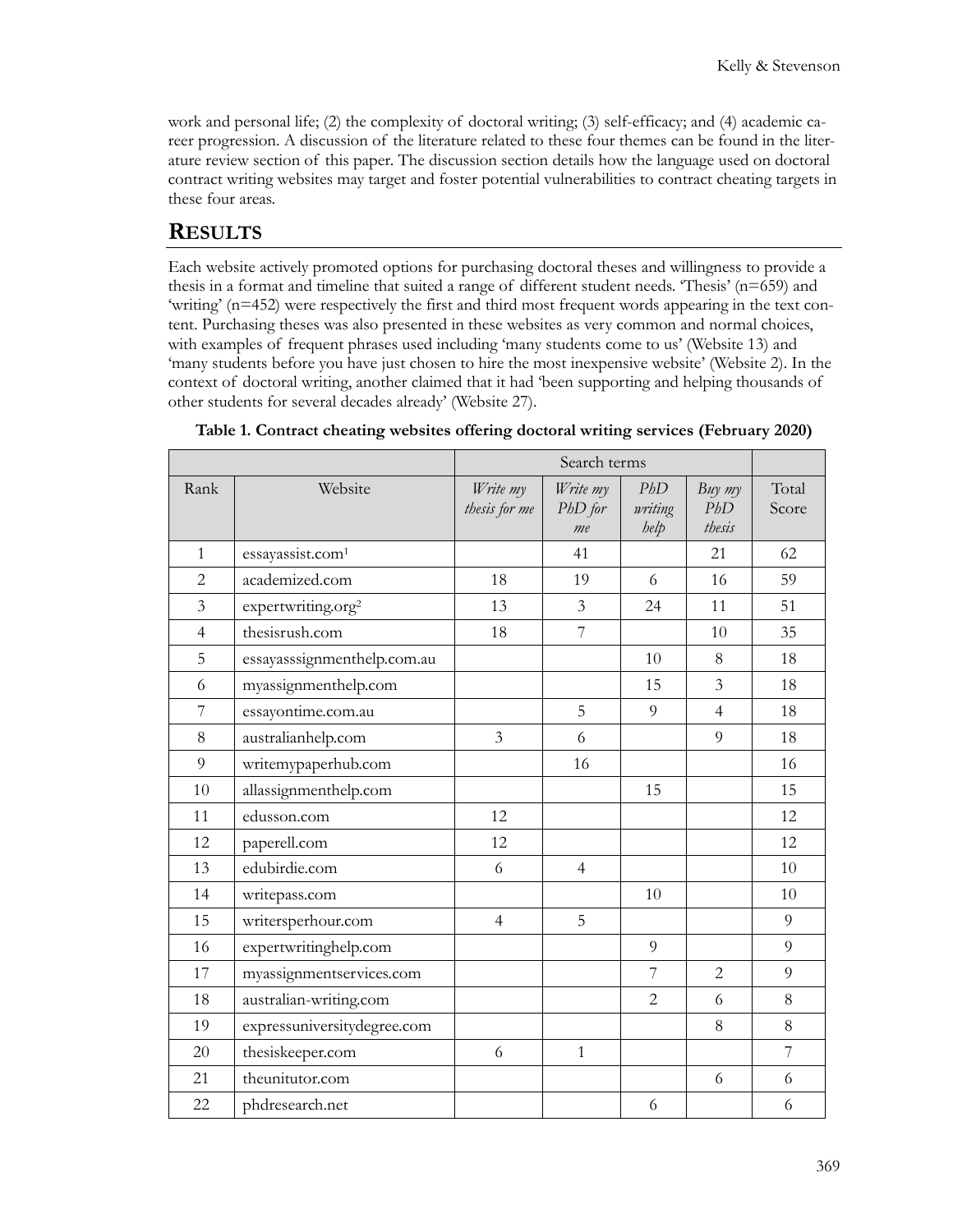work and personal life; (2) the complexity of doctoral writing; (3) self-efficacy; and (4) academic career progression. A discussion of the literature related to these four themes can be found in the literature review section of this paper. The discussion section details how the language used on doctoral contract writing websites may target and foster potential vulnerabilities to contract cheating targets in these four areas.

#### **RESULTS**

Each website actively promoted options for purchasing doctoral theses and willingness to provide a thesis in a format and timeline that suited a range of different student needs. 'Thesis' (n=659) and 'writing' (n=452) were respectively the first and third most frequent words appearing in the text content. Purchasing theses was also presented in these websites as very common and normal choices, with examples of frequent phrases used including 'many students come to us' (Website 13) and 'many students before you have just chosen to hire the most inexpensive website' (Website 2). In the context of doctoral writing, another claimed that it had 'been supporting and helping thousands of other students for several decades already' (Website 27).

|                |                                | Search terms              |                           |                        |                           |                |
|----------------|--------------------------------|---------------------------|---------------------------|------------------------|---------------------------|----------------|
| Rank           | Website                        | Write my<br>thesis for me | Write my<br>PhD for<br>me | PbD<br>writing<br>help | $Buy$ my<br>PbD<br>thesis | Total<br>Score |
| $\mathbf{1}$   | essayassist.com <sup>1</sup>   |                           | 41                        |                        | 21                        | 62             |
| 2              | academized.com                 | 18                        | 19                        | 6                      | 16                        | 59             |
| $\overline{3}$ | expertwriting.org <sup>2</sup> | 13                        | $\overline{3}$            | 24                     | 11                        | 51             |
| $\overline{4}$ | thesisrush.com                 | 18                        | 7                         |                        | 10                        | 35             |
| 5              | essayasssignmenthelp.com.au    |                           |                           | 10                     | 8                         | 18             |
| 6              | myassignmenthelp.com           |                           |                           | 15                     | $\mathfrak{Z}$            | 18             |
| $\overline{7}$ | essayontime.com.au             |                           | 5                         | 9                      | $\overline{4}$            | 18             |
| 8              | australianhelp.com             | 3                         | 6                         |                        | 9                         | 18             |
| 9              | writemypaperhub.com            |                           | 16                        |                        |                           | 16             |
| 10             | allassignmenthelp.com          |                           |                           | 15                     |                           | 15             |
| 11             | edusson.com                    | 12                        |                           |                        |                           | 12             |
| 12             | paperell.com                   | 12                        |                           |                        |                           | 12             |
| 13             | edubirdie.com                  | 6                         | $\overline{4}$            |                        |                           | 10             |
| 14             | writepass.com                  |                           |                           | 10                     |                           | 10             |
| 15             | writersperhour.com             | $\overline{4}$            | 5                         |                        |                           | 9              |
| 16             | expertwritinghelp.com          |                           |                           | 9                      |                           | 9              |
| 17             | myassignmentservices.com       |                           |                           | 7                      | 2                         | 9              |
| 18             | australian-writing.com         |                           |                           | $\overline{2}$         | 6                         | 8              |
| 19             | expressuniversitydegree.com    |                           |                           |                        | 8                         | 8              |
| 20             | thesiskeeper.com               | 6                         | $\mathbf{1}$              |                        |                           | 7              |
| 21             | theunitutor.com                |                           |                           |                        | 6                         | 6              |
| 22             | phdresearch.net                |                           |                           | 6                      |                           | 6              |

**Table 1. Contract cheating websites offering doctoral writing services (February 2020)**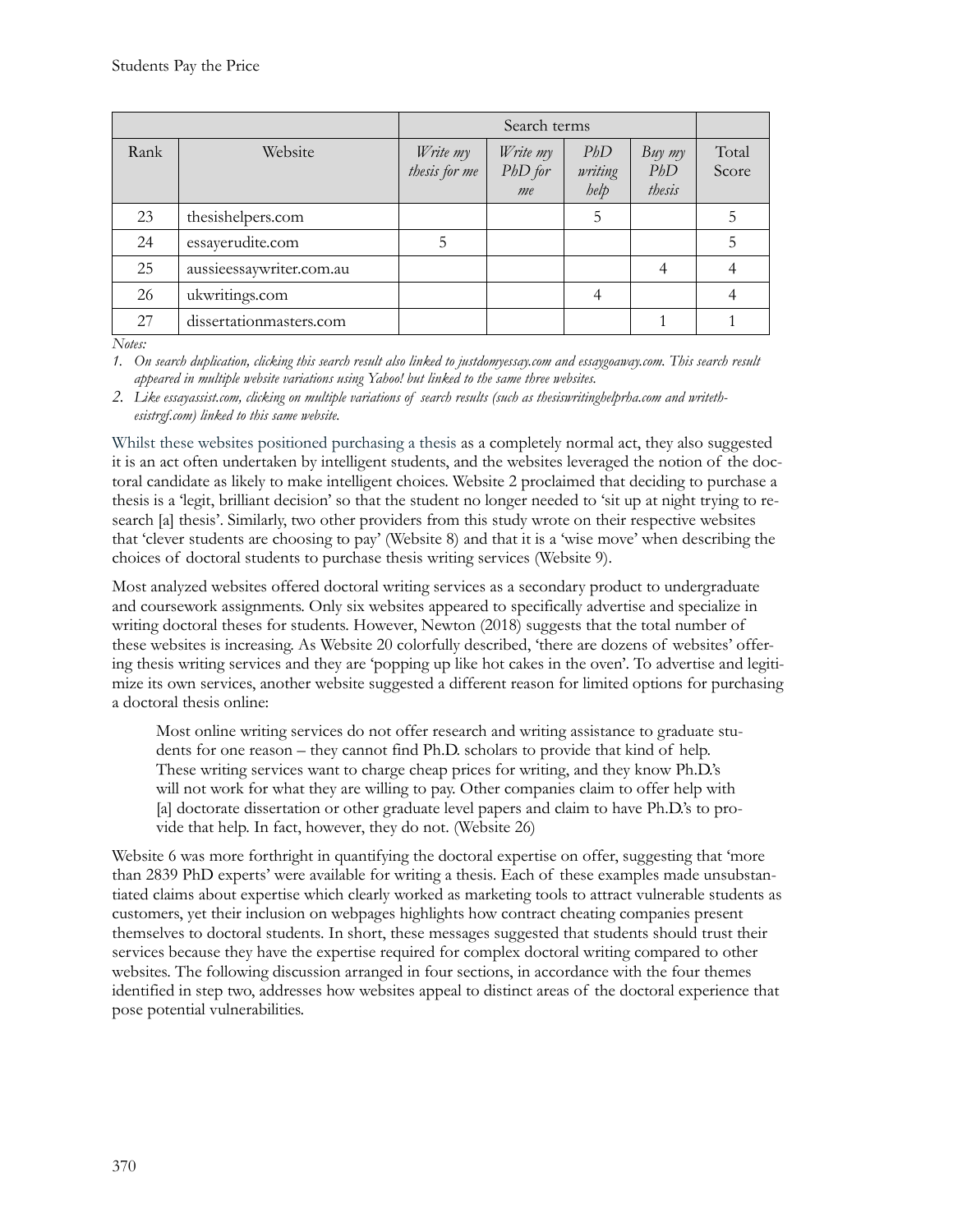| Rank | Website                  | Write my<br>thesis for me | Write my<br>$PbD$ for<br>me | PbD<br>writing<br>help | Buy my<br>PbD<br>thesis | Total<br>Score |
|------|--------------------------|---------------------------|-----------------------------|------------------------|-------------------------|----------------|
| 23   | thesishelpers.com        |                           |                             | 5                      |                         | 5              |
| 24   | essayerudite.com         | 5                         |                             |                        |                         | 5              |
| 25   | aussieessaywriter.com.au |                           |                             |                        |                         |                |
| 26   | ukwritings.com           |                           |                             |                        |                         |                |
| 27   | dissertationmasters.com  |                           |                             |                        |                         |                |

*Notes:*

*1. On search duplication, clicking this search result also linked to justdomyessay.com and essaygoaway.com. This search result appeared in multiple website variations using Yahoo! but linked to the same three websites.*

*2. Like essayassist.com, clicking on multiple variations of search results (such as thesiswritinghelprha.com and writethesistrgf.com) linked to this same website.*

Whilst these websites positioned purchasing a thesis as a completely normal act, they also suggested it is an act often undertaken by intelligent students, and the websites leveraged the notion of the doctoral candidate as likely to make intelligent choices. Website 2 proclaimed that deciding to purchase a thesis is a 'legit, brilliant decision' so that the student no longer needed to 'sit up at night trying to research [a] thesis'. Similarly, two other providers from this study wrote on their respective websites that 'clever students are choosing to pay' (Website 8) and that it is a 'wise move' when describing the choices of doctoral students to purchase thesis writing services (Website 9).

Most analyzed websites offered doctoral writing services as a secondary product to undergraduate and coursework assignments. Only six websites appeared to specifically advertise and specialize in writing doctoral theses for students. However, Newton (2018) suggests that the total number of these websites is increasing. As Website 20 colorfully described, 'there are dozens of websites' offering thesis writing services and they are 'popping up like hot cakes in the oven'. To advertise and legitimize its own services, another website suggested a different reason for limited options for purchasing a doctoral thesis online:

Most online writing services do not offer research and writing assistance to graduate students for one reason – they cannot find Ph.D. scholars to provide that kind of help. These writing services want to charge cheap prices for writing, and they know Ph.D.'s will not work for what they are willing to pay. Other companies claim to offer help with [a] doctorate dissertation or other graduate level papers and claim to have Ph.D.'s to provide that help. In fact, however, they do not. (Website 26)

Website 6 was more forthright in quantifying the doctoral expertise on offer, suggesting that 'more than 2839 PhD experts' were available for writing a thesis. Each of these examples made unsubstantiated claims about expertise which clearly worked as marketing tools to attract vulnerable students as customers, yet their inclusion on webpages highlights how contract cheating companies present themselves to doctoral students. In short, these messages suggested that students should trust their services because they have the expertise required for complex doctoral writing compared to other websites. The following discussion arranged in four sections, in accordance with the four themes identified in step two, addresses how websites appeal to distinct areas of the doctoral experience that pose potential vulnerabilities.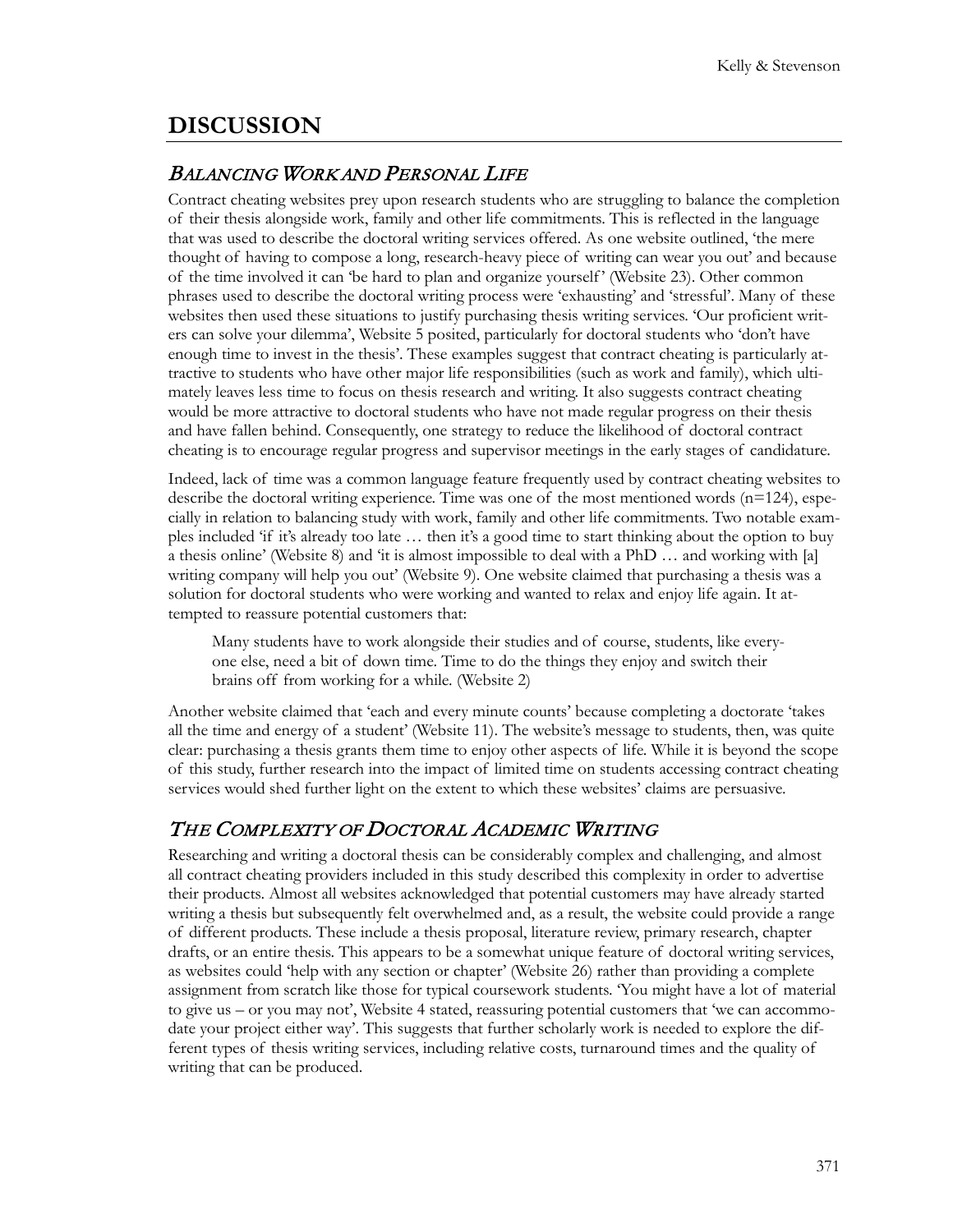# **DISCUSSION**

#### BALANCING WORK AND PERSONAL LIFE

Contract cheating websites prey upon research students who are struggling to balance the completion of their thesis alongside work, family and other life commitments. This is reflected in the language that was used to describe the doctoral writing services offered. As one website outlined, 'the mere thought of having to compose a long, research-heavy piece of writing can wear you out' and because of the time involved it can 'be hard to plan and organize yourself ' (Website 23). Other common phrases used to describe the doctoral writing process were 'exhausting' and 'stressful'. Many of these websites then used these situations to justify purchasing thesis writing services. 'Our proficient writers can solve your dilemma', Website 5 posited, particularly for doctoral students who 'don't have enough time to invest in the thesis'. These examples suggest that contract cheating is particularly attractive to students who have other major life responsibilities (such as work and family), which ultimately leaves less time to focus on thesis research and writing. It also suggests contract cheating would be more attractive to doctoral students who have not made regular progress on their thesis and have fallen behind. Consequently, one strategy to reduce the likelihood of doctoral contract cheating is to encourage regular progress and supervisor meetings in the early stages of candidature.

Indeed, lack of time was a common language feature frequently used by contract cheating websites to describe the doctoral writing experience. Time was one of the most mentioned words ( $n=124$ ), especially in relation to balancing study with work, family and other life commitments. Two notable examples included 'if it's already too late … then it's a good time to start thinking about the option to buy a thesis online' (Website 8) and 'it is almost impossible to deal with a PhD … and working with [a] writing company will help you out' (Website 9). One website claimed that purchasing a thesis was a solution for doctoral students who were working and wanted to relax and enjoy life again. It attempted to reassure potential customers that:

Many students have to work alongside their studies and of course, students, like everyone else, need a bit of down time. Time to do the things they enjoy and switch their brains off from working for a while. (Website 2)

Another website claimed that 'each and every minute counts' because completing a doctorate 'takes all the time and energy of a student' (Website 11). The website's message to students, then, was quite clear: purchasing a thesis grants them time to enjoy other aspects of life. While it is beyond the scope of this study, further research into the impact of limited time on students accessing contract cheating services would shed further light on the extent to which these websites' claims are persuasive.

## THE COMPLEXITY OF DOCTORAL ACADEMIC WRITING

Researching and writing a doctoral thesis can be considerably complex and challenging, and almost all contract cheating providers included in this study described this complexity in order to advertise their products. Almost all websites acknowledged that potential customers may have already started writing a thesis but subsequently felt overwhelmed and, as a result, the website could provide a range of different products. These include a thesis proposal, literature review, primary research, chapter drafts, or an entire thesis. This appears to be a somewhat unique feature of doctoral writing services, as websites could 'help with any section or chapter' (Website 26) rather than providing a complete assignment from scratch like those for typical coursework students. 'You might have a lot of material to give us – or you may not', Website 4 stated, reassuring potential customers that 'we can accommodate your project either way'. This suggests that further scholarly work is needed to explore the different types of thesis writing services, including relative costs, turnaround times and the quality of writing that can be produced.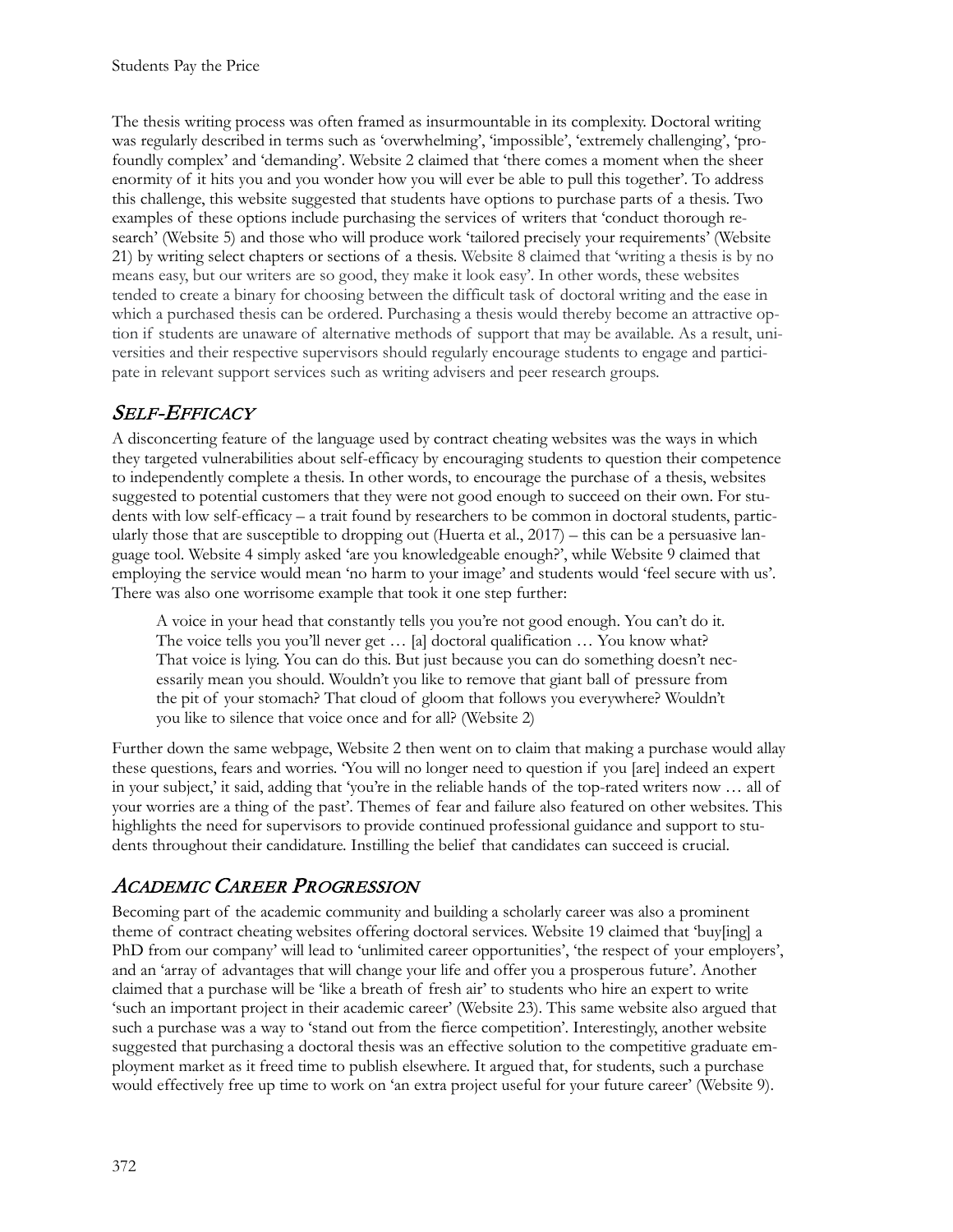The thesis writing process was often framed as insurmountable in its complexity. Doctoral writing was regularly described in terms such as 'overwhelming', 'impossible', 'extremely challenging', 'profoundly complex' and 'demanding'. Website 2 claimed that 'there comes a moment when the sheer enormity of it hits you and you wonder how you will ever be able to pull this together'. To address this challenge, this website suggested that students have options to purchase parts of a thesis. Two examples of these options include purchasing the services of writers that 'conduct thorough research' (Website 5) and those who will produce work 'tailored precisely your requirements' (Website 21) by writing select chapters or sections of a thesis. Website 8 claimed that 'writing a thesis is by no means easy, but our writers are so good, they make it look easy'. In other words, these websites tended to create a binary for choosing between the difficult task of doctoral writing and the ease in which a purchased thesis can be ordered. Purchasing a thesis would thereby become an attractive option if students are unaware of alternative methods of support that may be available. As a result, universities and their respective supervisors should regularly encourage students to engage and participate in relevant support services such as writing advisers and peer research groups.

## SELF-EFFICACY

A disconcerting feature of the language used by contract cheating websites was the ways in which they targeted vulnerabilities about self-efficacy by encouraging students to question their competence to independently complete a thesis. In other words, to encourage the purchase of a thesis, websites suggested to potential customers that they were not good enough to succeed on their own. For students with low self-efficacy – a trait found by researchers to be common in doctoral students, particularly those that are susceptible to dropping out (Huerta et al.,  $2017$ ) – this can be a persuasive language tool. Website 4 simply asked 'are you knowledgeable enough?', while Website 9 claimed that employing the service would mean 'no harm to your image' and students would 'feel secure with us'. There was also one worrisome example that took it one step further:

A voice in your head that constantly tells you you're not good enough. You can't do it. The voice tells you you'll never get … [a] doctoral qualification … You know what? That voice is lying. You can do this. But just because you can do something doesn't necessarily mean you should. Wouldn't you like to remove that giant ball of pressure from the pit of your stomach? That cloud of gloom that follows you everywhere? Wouldn't you like to silence that voice once and for all? (Website 2)

Further down the same webpage, Website 2 then went on to claim that making a purchase would allay these questions, fears and worries. 'You will no longer need to question if you [are] indeed an expert in your subject,' it said, adding that 'you're in the reliable hands of the top-rated writers now … all of your worries are a thing of the past'. Themes of fear and failure also featured on other websites. This highlights the need for supervisors to provide continued professional guidance and support to students throughout their candidature. Instilling the belief that candidates can succeed is crucial.

## ACADEMIC CAREER PROGRESSION

Becoming part of the academic community and building a scholarly career was also a prominent theme of contract cheating websites offering doctoral services. Website 19 claimed that 'buy[ing] a PhD from our company' will lead to 'unlimited career opportunities', 'the respect of your employers', and an 'array of advantages that will change your life and offer you a prosperous future'. Another claimed that a purchase will be 'like a breath of fresh air' to students who hire an expert to write 'such an important project in their academic career' (Website 23). This same website also argued that such a purchase was a way to 'stand out from the fierce competition'. Interestingly, another website suggested that purchasing a doctoral thesis was an effective solution to the competitive graduate employment market as it freed time to publish elsewhere. It argued that, for students, such a purchase would effectively free up time to work on 'an extra project useful for your future career' (Website 9).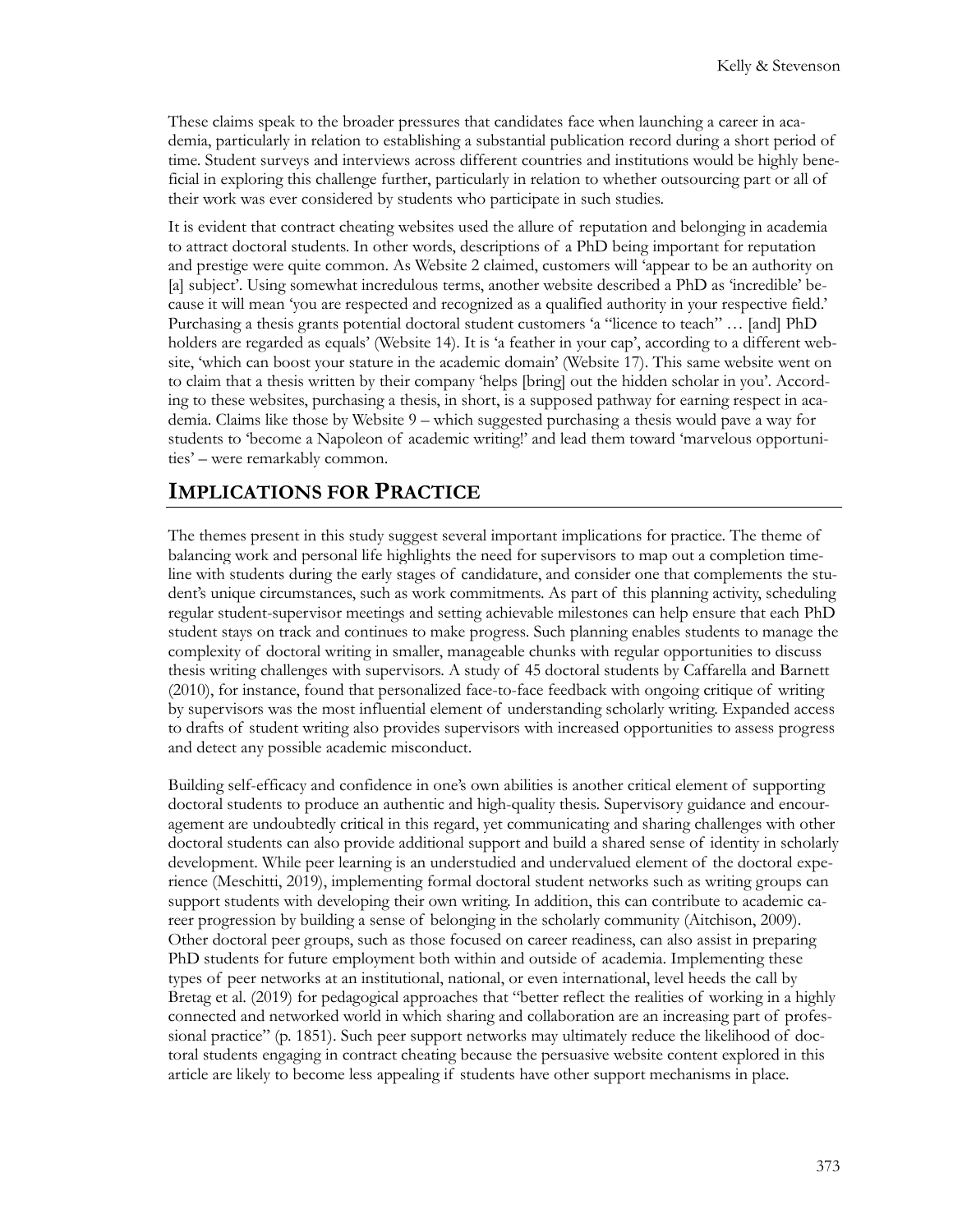These claims speak to the broader pressures that candidates face when launching a career in academia, particularly in relation to establishing a substantial publication record during a short period of time. Student surveys and interviews across different countries and institutions would be highly beneficial in exploring this challenge further, particularly in relation to whether outsourcing part or all of their work was ever considered by students who participate in such studies.

It is evident that contract cheating websites used the allure of reputation and belonging in academia to attract doctoral students. In other words, descriptions of a PhD being important for reputation and prestige were quite common. As Website 2 claimed, customers will 'appear to be an authority on [a] subject'. Using somewhat incredulous terms, another website described a PhD as 'incredible' because it will mean 'you are respected and recognized as a qualified authority in your respective field.' Purchasing a thesis grants potential doctoral student customers 'a "licence to teach" … [and] PhD holders are regarded as equals' (Website 14). It is 'a feather in your cap', according to a different website, 'which can boost your stature in the academic domain' (Website 17). This same website went on to claim that a thesis written by their company 'helps [bring] out the hidden scholar in you'. According to these websites, purchasing a thesis, in short, is a supposed pathway for earning respect in academia. Claims like those by Website 9 – which suggested purchasing a thesis would pave a way for students to 'become a Napoleon of academic writing!' and lead them toward 'marvelous opportunities' – were remarkably common.

#### **IMPLICATIONS FOR PRACTICE**

The themes present in this study suggest several important implications for practice. The theme of balancing work and personal life highlights the need for supervisors to map out a completion timeline with students during the early stages of candidature, and consider one that complements the student's unique circumstances, such as work commitments. As part of this planning activity, scheduling regular student-supervisor meetings and setting achievable milestones can help ensure that each PhD student stays on track and continues to make progress. Such planning enables students to manage the complexity of doctoral writing in smaller, manageable chunks with regular opportunities to discuss thesis writing challenges with supervisors. A study of 45 doctoral students by Caffarella and Barnett (2010), for instance, found that personalized face-to-face feedback with ongoing critique of writing by supervisors was the most influential element of understanding scholarly writing. Expanded access to drafts of student writing also provides supervisors with increased opportunities to assess progress and detect any possible academic misconduct.

Building self-efficacy and confidence in one's own abilities is another critical element of supporting doctoral students to produce an authentic and high-quality thesis. Supervisory guidance and encouragement are undoubtedly critical in this regard, yet communicating and sharing challenges with other doctoral students can also provide additional support and build a shared sense of identity in scholarly development. While peer learning is an understudied and undervalued element of the doctoral experience (Meschitti, 2019), implementing formal doctoral student networks such as writing groups can support students with developing their own writing. In addition, this can contribute to academic career progression by building a sense of belonging in the scholarly community (Aitchison, 2009). Other doctoral peer groups, such as those focused on career readiness, can also assist in preparing PhD students for future employment both within and outside of academia. Implementing these types of peer networks at an institutional, national, or even international, level heeds the call by Bretag et al. (2019) for pedagogical approaches that "better reflect the realities of working in a highly connected and networked world in which sharing and collaboration are an increasing part of professional practice" (p. 1851). Such peer support networks may ultimately reduce the likelihood of doctoral students engaging in contract cheating because the persuasive website content explored in this article are likely to become less appealing if students have other support mechanisms in place.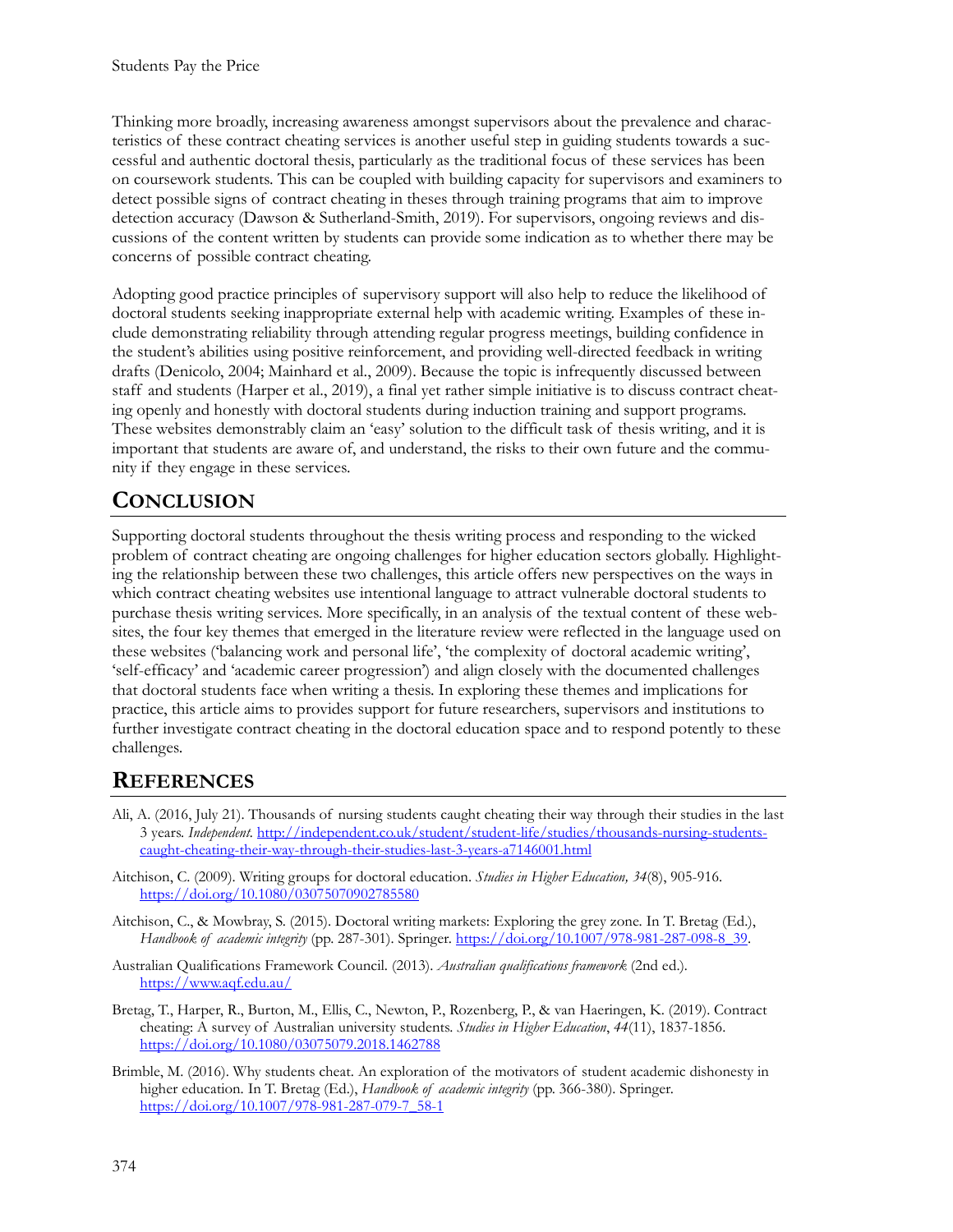Thinking more broadly, increasing awareness amongst supervisors about the prevalence and characteristics of these contract cheating services is another useful step in guiding students towards a successful and authentic doctoral thesis, particularly as the traditional focus of these services has been on coursework students. This can be coupled with building capacity for supervisors and examiners to detect possible signs of contract cheating in theses through training programs that aim to improve detection accuracy (Dawson & Sutherland-Smith, 2019). For supervisors, ongoing reviews and discussions of the content written by students can provide some indication as to whether there may be concerns of possible contract cheating.

Adopting good practice principles of supervisory support will also help to reduce the likelihood of doctoral students seeking inappropriate external help with academic writing. Examples of these include demonstrating reliability through attending regular progress meetings, building confidence in the student's abilities using positive reinforcement, and providing well-directed feedback in writing drafts (Denicolo, 2004; Mainhard et al., 2009). Because the topic is infrequently discussed between staff and students (Harper et al., 2019), a final yet rather simple initiative is to discuss contract cheating openly and honestly with doctoral students during induction training and support programs. These websites demonstrably claim an 'easy' solution to the difficult task of thesis writing, and it is important that students are aware of, and understand, the risks to their own future and the community if they engage in these services.

# **CONCLUSION**

Supporting doctoral students throughout the thesis writing process and responding to the wicked problem of contract cheating are ongoing challenges for higher education sectors globally. Highlighting the relationship between these two challenges, this article offers new perspectives on the ways in which contract cheating websites use intentional language to attract vulnerable doctoral students to purchase thesis writing services. More specifically, in an analysis of the textual content of these websites, the four key themes that emerged in the literature review were reflected in the language used on these websites ('balancing work and personal life', 'the complexity of doctoral academic writing', 'self-efficacy' and 'academic career progression') and align closely with the documented challenges that doctoral students face when writing a thesis. In exploring these themes and implications for practice, this article aims to provides support for future researchers, supervisors and institutions to further investigate contract cheating in the doctoral education space and to respond potently to these challenges.

## **REFERENCES**

- Ali, A. (2016, July 21). Thousands of nursing students caught cheating their way through their studies in the last 3 years. *Independent.* [http://independent.co.uk/student/studen](http://independent.co.uk/student/student-life/studies/thousands-nursing-students-caught-cheating-their-way-through-their-studies-last-3-years-a7146001.html)t-life/studies/thousands-nursing-students[caught-cheating-their-way-through-their-studies-last-](http://independent.co.uk/student/student-life/studies/thousands-nursing-students-caught-cheating-their-way-through-their-studies-last-3-years-a7146001.html)3-years-a7146001.html
- Aitchison, C. (2009). Writing groups for doctoral education. *Studies in Higher Education, 34*(8), 905-916. <https://doi.org/10.1080/03075070902785580>
- Aitchison, C., & Mowbray, S. (2015). Doctoral writing markets: Exploring the grey zone. In T. Bretag (Ed.), *Handbook of academic integrity* (pp. 287-301). Springer. [https://doi.org/10.1007/978-981-287-098-8\\_39](https://doi.org/10.1007/978-981-287-098-8_39).
- Australian Qualifications Framework Council. (2013). *Australian qualifications framework* (2nd ed.)*.* <https://www.aqf.edu.au/>
- Bretag, T., Harper, R., Burton, M., Ellis, C., Newton, P., Rozenberg, P., & van Haeringen, K. (2019). Contract cheating: A survey of Australian university students. *Studies in Higher Education*, *44*(11), 1837-1856. <https://doi.org/10.1080/03075079.2018.1462788>
- Brimble, M. (2016). Why students cheat. An exploration of the motivators of student academic dishonesty in higher education. In T. Bretag (Ed.), *Handbook of academic integrity* (pp. 366-380). Springer. [https://doi.org/10.1007/978-981-287-079-7\\_58-1](https://doi.org/10.1007/978-981-287-079-7_58-1)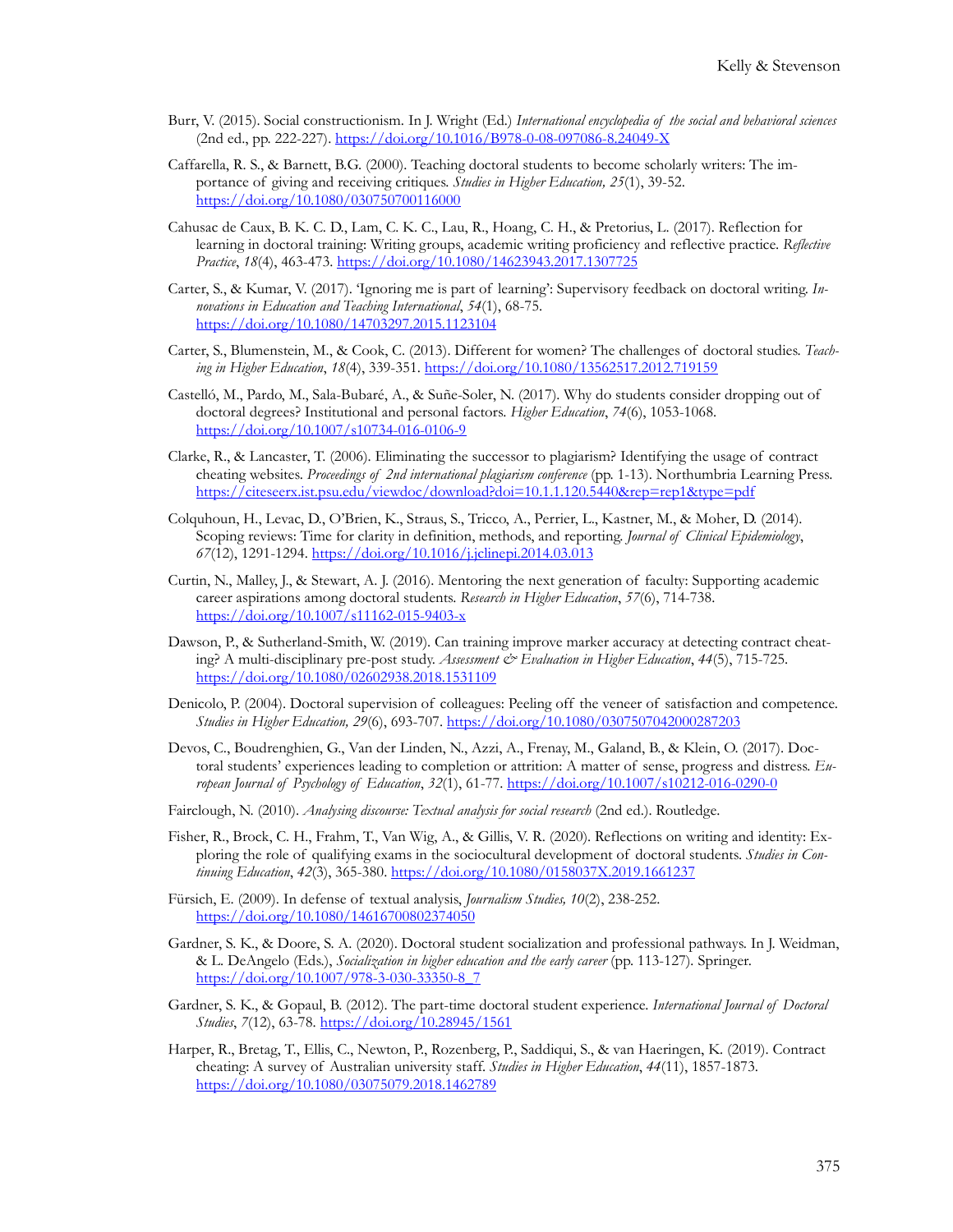- Burr, V. (2015). Social constructionism. In J. Wright (Ed*.*) *International encyclopedia of the social and behavioral sciences* (2nd ed., pp. 222-227). [https://doi.org/10.1016/B978-0-08-097086-8.24049-](https://doi.org/10.1016/B978-0-08-097086-8.24049-X)X
- Caffarella, R. S., & Barnett, B.G. (2000). Teaching doctoral students to become scholarly writers: The importance of giving and receiving critiques. *Studies in Higher Education, 25*(1), 39-52. <https://doi.org/10.1080/030750700116000>
- Cahusac de Caux, B. K. C. D., Lam, C. K. C., Lau, R., Hoang, C. H., & Pretorius, L. (2017). Reflection for learning in doctoral training: Writing groups, academic writing proficiency and reflective practice. *Reflective Practice*, *18*(4), 463-473. <https://doi.org/10.1080/14623943.2017.1307725>
- Carter, S., & Kumar, V. (2017). 'Ignoring me is part of learning': Supervisory feedback on doctoral writing. *Innovations in Education and Teaching International*, *54*(1), 68-75. <https://doi.org/10.1080/14703297.2015.1123104>
- Carter, S., Blumenstein, M., & Cook, C. (2013). Different for women? The challenges of doctoral studies. *Teaching in Higher Education*, *18*(4), 339-351.<https://doi.org/10.1080/13562517.2012.719159>
- Castelló, M., Pardo, M., Sala-Bubaré, A., & Suñe-Soler, N. (2017). Why do students consider dropping out of doctoral degrees? Institutional and personal factors. *Higher Education*, *74*(6), 1053-1068. <https://doi.org/10.1007/s10734-016-0106-9>
- Clarke, R., & Lancaster, T. (2006). Eliminating the successor to plagiarism? Identifying the usage of contract cheating websites. *Proceedings of 2nd international plagiarism conference* (pp. 1-13). Northumbria Learning Press. <https://citeseerx.ist.psu.edu/viewdoc/download?doi=10.1.1.120.5440&rep=rep1&type=pdf>
- Colquhoun, H., Levac, D., O'Brien, K., Straus, S., Tricco, A., Perrier, L., Kastner, M., & Moher, D. (2014). Scoping reviews: Time for clarity in definition, methods, and reporting. *Journal of Clinical Epidemiology*, *67*(12), 1291-1294[. https://doi.org/10.1016/j.jclinepi.2014.03.013](https://doi.org/10.1016/j.jclinepi.2014.03.013)
- Curtin, N., Malley, J., & Stewart, A. J. (2016). Mentoring the next generation of faculty: Supporting academic career aspirations among doctoral students. *Research in Higher Education*, *57*(6), 714-738. <https://doi.org/10.1007/s11162-015-9403-x>
- Dawson, P., & Sutherland-Smith, W. (2019). Can training improve marker accuracy at detecting contract cheating? A multi-disciplinary pre-post study. *Assessment & Evaluation in Higher Education*, 44(5), 715-725. <https://doi.org/10.1080/02602938.2018.1531109>
- Denicolo, P. (2004). Doctoral supervision of colleagues: Peeling off the veneer of satisfaction and competence. *Studies in Higher Education, 29*(6), 693-707.<https://doi.org/10.1080/0307507042000287203>
- Devos, C., Boudrenghien, G., Van der Linden, N., Azzi, A., Frenay, M., Galand, B., & Klein, O. (2017). Doctoral students' experiences leading to completion or attrition: A matter of sense, progress and distress. *European Journal of Psychology of Education*, *32*(1), 61-77. <https://doi.org/10.1007/s10212-016-0290-0>
- Fairclough, N. (2010). *Analysing discourse: Textual analysis for social research* (2nd ed.). Routledge.
- Fisher, R., Brock, C. H., Frahm, T., Van Wig, A., & Gillis, V. R. (2020). Reflections on writing and identity: Exploring the role of qualifying exams in the sociocultural development of doctoral students. *Studies in Continuing Education*, *42*(3), 365-380. <https://doi.org/10.1080/0158037X.2019.1661237>
- Fürsich, E. (2009). In defense of textual analysis, *Journalism Studies, 10*(2), 238-252. <https://doi.org/10.1080/14616700802374050>
- Gardner, S. K., & Doore, S. A. (2020). Doctoral student socialization and professional pathways. In J. Weidman, & L. DeAngelo (Eds.), *Socialization in higher education and the early career* (pp. 113-127)*.* Springer. [https://doi.org/10.1007/978-](https://doi.org/10.1007/978-3-030-33350-8_7)3-030-33350-8\_7
- Gardner, S. K., & Gopaul, B. (2012). The part-time doctoral student experience. *International Journal of Doctoral Studies*, *7*(12), 63-78.<https://doi.org/10.28945/1561>
- Harper, R., Bretag, T., Ellis, C., Newton, P., Rozenberg, P., Saddiqui, S., & van Haeringen, K. (2019). Contract cheating: A survey of Australian university staff. *Studies in Higher Education*, *44*(11), 1857-1873. <https://doi.org/10.1080/03075079.2018.1462789>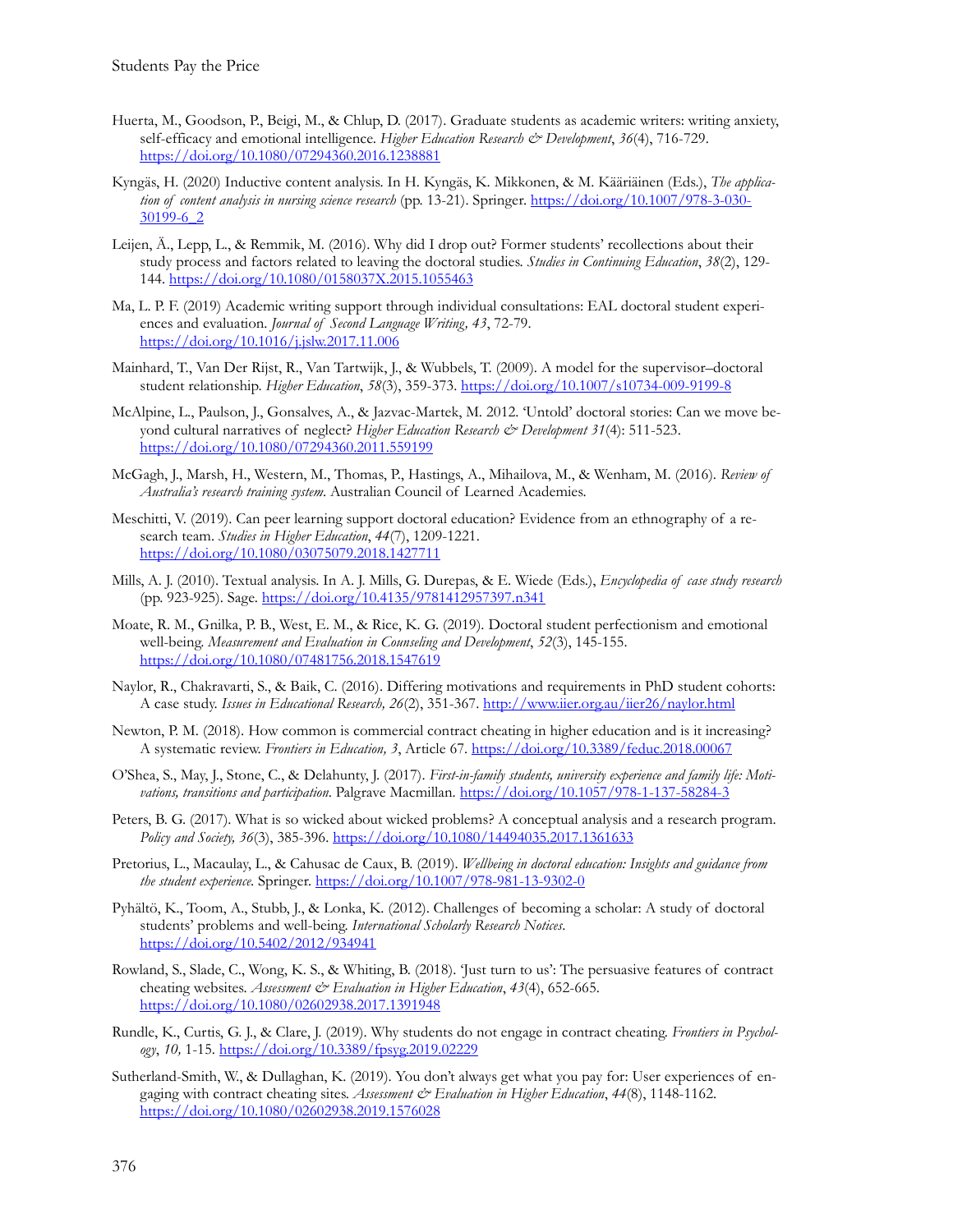- Huerta, M., Goodson, P., Beigi, M., & Chlup, D. (2017). Graduate students as academic writers: writing anxiety, self-efficacy and emotional intelligence. *Higher Education Research & Development*, *36*(4), 716-729. <https://doi.org/10.1080/07294360.2016.1238881>
- Kyngäs, H. (2020) Inductive content analysis. In H. Kyngäs, K. Mikkonen, & M. Kääriäinen (Eds.), *The application of content analysis in nursing science research* (pp. 13-21). Springer. [https://doi.org/10.1007/978-](https://doi.org/10.1007/978-3-030-30199-6_2)3-030- [30199-6\\_2](https://doi.org/10.1007/978-3-030-30199-6_2)
- Leijen, Ä., Lepp, L., & Remmik, M. (2016). Why did I drop out? Former students' recollections about their study process and factors related to leaving the doctoral studies. *Studies in Continuing Education*, *38*(2), 129- 144[. https://doi.org/10.1080/0158037X.2015.1055463](https://doi.org/10.1080/0158037X.2015.1055463)
- Ma, L. P. F. (2019) Academic writing support through individual consultations: EAL doctoral student experiences and evaluation. *Journal of Second Language Writing, 43*, 72-79. <https://doi.org/10.1016/j.jslw.2017.11.006>
- Mainhard, T., Van Der Rijst, R., Van Tartwijk, J., & Wubbels, T. (2009). A model for the supervisor–doctoral student relationship. *Higher Education*, *58*(3), 359-373. <https://doi.org/10.1007/s10734-009-9199-8>
- McAlpine, L., Paulson, J., Gonsalves, A., & Jazvac-Martek, M. 2012. 'Untold' doctoral stories: Can we move beyond cultural narratives of neglect? *Higher Education Research & Development 31*(4): 511-523. <https://doi.org/10.1080/07294360.2011.559199>
- McGagh, J., Marsh, H., Western, M., Thomas, P., Hastings, A., Mihailova, M., & Wenham, M. (2016). *Review of Australia's research training system*. Australian Council of Learned Academies.
- Meschitti, V. (2019). Can peer learning support doctoral education? Evidence from an ethnography of a research team. *Studies in Higher Education*, *44*(7), 1209-1221. <https://doi.org/10.1080/03075079.2018.1427711>
- Mills, A. J. (2010). Textual analysis. In A. J. Mills, G. Durepas, & E. Wiede (Eds.), *Encyclopedia of case study research* (pp. 923-925). Sage.<https://doi.org/10.4135/9781412957397.n341>
- Moate, R. M., Gnilka, P. B., West, E. M., & Rice, K. G. (2019). Doctoral student perfectionism and emotional well-being. *Measurement and Evaluation in Counseling and Development*, *52*(3), 145-155. <https://doi.org/10.1080/07481756.2018.1547619>
- Naylor, R., Chakravarti, S., & Baik, C. (2016). Differing motivations and requirements in PhD student cohorts: A case study. *Issues in Educational Research, 26*(2), 351-367. <http://www.iier.org.au/iier26/naylor.html>
- Newton, P. M. (2018). How common is commercial contract cheating in higher education and is it increasing? A systematic review. *Frontiers in Education, 3*, Article 67. <https://doi.org/10.3389/feduc.2018.00067>
- O'Shea, S., May, J., Stone, C., & Delahunty, J. (2017). *First-in-family students, university experience and family life: Motivations, transitions and participation*. Palgrave Macmillan. [https://doi.org/10.1057/978-1-137-58284-](https://doi.org/10.1057/978-1-137-58284-3)3
- Peters, B. G. (2017). What is so wicked about wicked problems? A conceptual analysis and a research program. *Policy and Society, 36*(3), 385-396.<https://doi.org/10.1080/14494035.2017.1361633>
- Pretorius, L., Macaulay, L., & Cahusac de Caux, B. (2019). *Wellbeing in doctoral education: Insights and guidance from the student experience*. Springer.<https://doi.org/10.1007/978-981-13-9302-0>
- Pyhältö, K., Toom, A., Stubb, J., & Lonka, K. (2012). Challenges of becoming a scholar: A study of doctoral students' problems and well-being. *International Scholarly Research Notices*. <https://doi.org/10.5402/2012/934941>
- Rowland, S., Slade, C., Wong, K. S., & Whiting, B. (2018). 'Just turn to us': The persuasive features of contract cheating websites. *Assessment & Evaluation in Higher Education*, *43*(4), 652-665. <https://doi.org/10.1080/02602938.2017.1391948>
- Rundle, K., Curtis, G. J., & Clare, J. (2019). Why students do not engage in contract cheating. *Frontiers in Psychology*, *10,* 1-15. <https://doi.org/10.3389/fpsyg.2019.02229>
- Sutherland-Smith, W., & Dullaghan, K. (2019). You don't always get what you pay for: User experiences of engaging with contract cheating sites. Assessment & Evaluation in Higher Education, 44(8), 1148-1162. <https://doi.org/10.1080/02602938.2019.1576028>